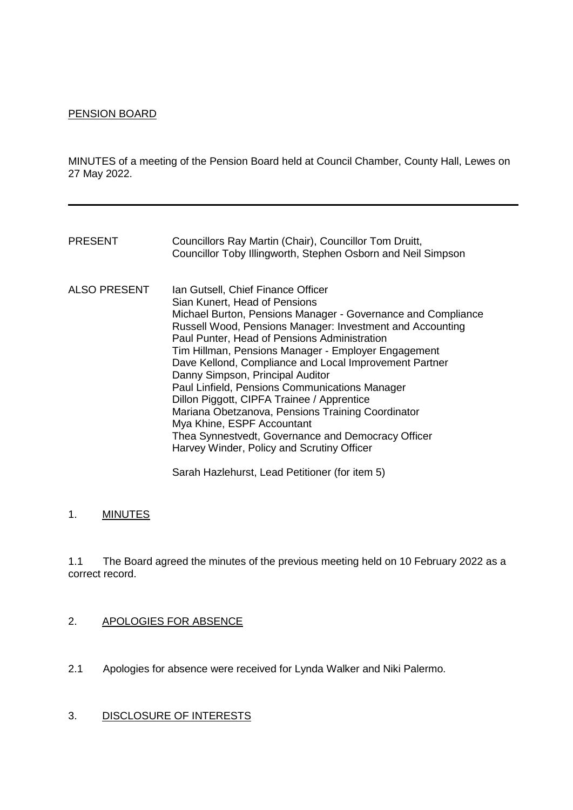#### PENSION BOARD

MINUTES of a meeting of the Pension Board held at Council Chamber, County Hall, Lewes on 27 May 2022.

| <b>PRESENT</b>      | Councillors Ray Martin (Chair), Councillor Tom Druitt,<br>Councillor Toby Illingworth, Stephen Osborn and Neil Simpson                                                                                                                                                                                                                                                                                                                                                                                                                                                                                                                                                                       |
|---------------------|----------------------------------------------------------------------------------------------------------------------------------------------------------------------------------------------------------------------------------------------------------------------------------------------------------------------------------------------------------------------------------------------------------------------------------------------------------------------------------------------------------------------------------------------------------------------------------------------------------------------------------------------------------------------------------------------|
| <b>ALSO PRESENT</b> | Ian Gutsell, Chief Finance Officer<br>Sian Kunert, Head of Pensions<br>Michael Burton, Pensions Manager - Governance and Compliance<br>Russell Wood, Pensions Manager: Investment and Accounting<br>Paul Punter, Head of Pensions Administration<br>Tim Hillman, Pensions Manager - Employer Engagement<br>Dave Kellond, Compliance and Local Improvement Partner<br>Danny Simpson, Principal Auditor<br>Paul Linfield, Pensions Communications Manager<br>Dillon Piggott, CIPFA Trainee / Apprentice<br>Mariana Obetzanova, Pensions Training Coordinator<br>Mya Khine, ESPF Accountant<br>Thea Synnestvedt, Governance and Democracy Officer<br>Harvey Winder, Policy and Scrutiny Officer |

Sarah Hazlehurst, Lead Petitioner (for item 5)

# 1. MINUTES

1.1 The Board agreed the minutes of the previous meeting held on 10 February 2022 as a correct record.

# 2. APOLOGIES FOR ABSENCE

2.1 Apologies for absence were received for Lynda Walker and Niki Palermo.

### 3. DISCLOSURE OF INTERESTS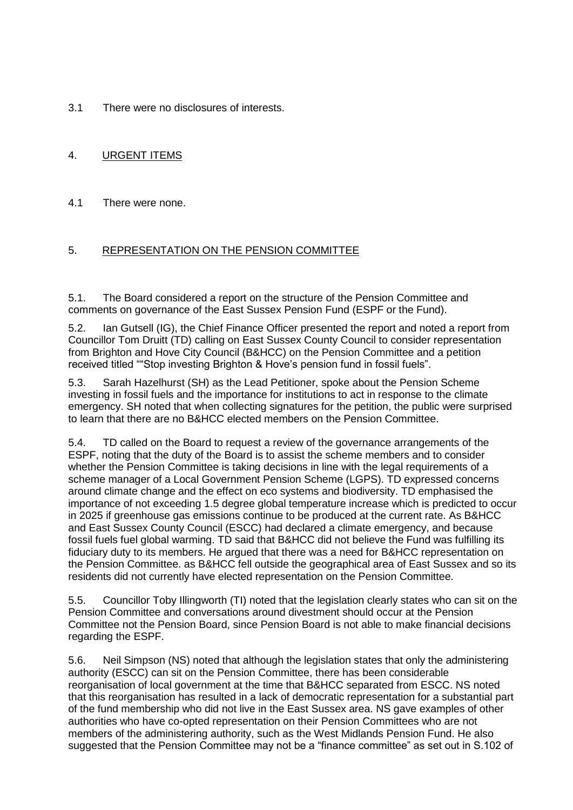3.1 There were no disclosures of interests.

# 4. URGENT ITEMS

### 4.1 There were none.

# 5. REPRESENTATION ON THE PENSION COMMITTEE

5.1. The Board considered a report on the structure of the Pension Committee and comments on governance of the East Sussex Pension Fund (ESPF or the Fund).

5.2. Ian Gutsell (IG), the Chief Finance Officer presented the report and noted a report from Councillor Tom Druitt (TD) calling on East Sussex County Council to consider representation from Brighton and Hove City Council (B&HCC) on the Pension Committee and a petition received titled ""Stop investing Brighton & Hove's pension fund in fossil fuels".

5.3. Sarah Hazelhurst (SH) as the Lead Petitioner, spoke about the Pension Scheme investing in fossil fuels and the importance for institutions to act in response to the climate emergency. SH noted that when collecting signatures for the petition, the public were surprised to learn that there are no B&HCC elected members on the Pension Committee.

5.4. TD called on the Board to request a review of the governance arrangements of the ESPF, noting that the duty of the Board is to assist the scheme members and to consider whether the Pension Committee is taking decisions in line with the legal requirements of a scheme manager of a Local Government Pension Scheme (LGPS). TD expressed concerns around climate change and the effect on eco systems and biodiversity. TD emphasised the importance of not exceeding 1.5 degree global temperature increase which is predicted to occur in 2025 if greenhouse gas emissions continue to be produced at the current rate. As B&HCC and East Sussex County Council (ESCC) had declared a climate emergency, and because fossil fuels fuel global warming. TD said that B&HCC did not believe the Fund was fulfilling its fiduciary duty to its members. He argued that there was a need for B&HCC representation on the Pension Committee. as B&HCC fell outside the geographical area of East Sussex and so its residents did not currently have elected representation on the Pension Committee.

5.5. Councillor Toby Illingworth (TI) noted that the legislation clearly states who can sit on the Pension Committee and conversations around divestment should occur at the Pension Committee not the Pension Board, since Pension Board is not able to make financial decisions regarding the ESPF.

5.6. Neil Simpson (NS) noted that although the legislation states that only the administering authority (ESCC) can sit on the Pension Committee, there has been considerable reorganisation of local government at the time that B&HCC separated from ESCC. NS noted that this reorganisation has resulted in a lack of democratic representation for a substantial part of the fund membership who did not live in the East Sussex area. NS gave examples of other authorities who have co-opted representation on their Pension Committees who are not members of the administering authority, such as the West Midlands Pension Fund. He also suggested that the Pension Committee may not be a "finance committee" as set out in S.102 of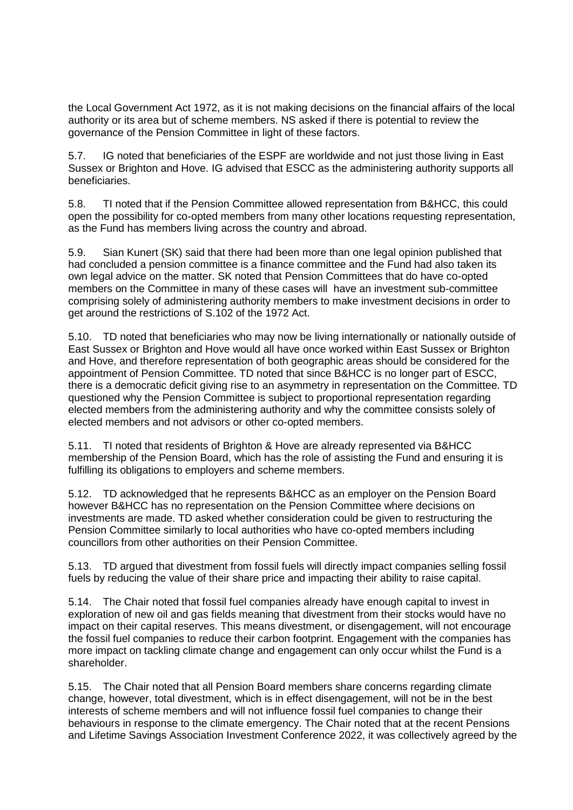the Local Government Act 1972, as it is not making decisions on the financial affairs of the local authority or its area but of scheme members. NS asked if there is potential to review the governance of the Pension Committee in light of these factors.

5.7. IG noted that beneficiaries of the ESPF are worldwide and not just those living in East Sussex or Brighton and Hove. IG advised that ESCC as the administering authority supports all beneficiaries.

5.8. TI noted that if the Pension Committee allowed representation from B&HCC, this could open the possibility for co-opted members from many other locations requesting representation, as the Fund has members living across the country and abroad.

5.9. Sian Kunert (SK) said that there had been more than one legal opinion published that had concluded a pension committee is a finance committee and the Fund had also taken its own legal advice on the matter. SK noted that Pension Committees that do have co-opted members on the Committee in many of these cases will have an investment sub-committee comprising solely of administering authority members to make investment decisions in order to get around the restrictions of S.102 of the 1972 Act.

5.10. TD noted that beneficiaries who may now be living internationally or nationally outside of East Sussex or Brighton and Hove would all have once worked within East Sussex or Brighton and Hove, and therefore representation of both geographic areas should be considered for the appointment of Pension Committee. TD noted that since B&HCC is no longer part of ESCC, there is a democratic deficit giving rise to an asymmetry in representation on the Committee. TD questioned why the Pension Committee is subject to proportional representation regarding elected members from the administering authority and why the committee consists solely of elected members and not advisors or other co-opted members.

5.11. TI noted that residents of Brighton & Hove are already represented via B&HCC membership of the Pension Board, which has the role of assisting the Fund and ensuring it is fulfilling its obligations to employers and scheme members.

5.12. TD acknowledged that he represents B&HCC as an employer on the Pension Board however B&HCC has no representation on the Pension Committee where decisions on investments are made. TD asked whether consideration could be given to restructuring the Pension Committee similarly to local authorities who have co-opted members including councillors from other authorities on their Pension Committee.

5.13. TD argued that divestment from fossil fuels will directly impact companies selling fossil fuels by reducing the value of their share price and impacting their ability to raise capital.

5.14. The Chair noted that fossil fuel companies already have enough capital to invest in exploration of new oil and gas fields meaning that divestment from their stocks would have no impact on their capital reserves. This means divestment, or disengagement, will not encourage the fossil fuel companies to reduce their carbon footprint. Engagement with the companies has more impact on tackling climate change and engagement can only occur whilst the Fund is a shareholder.

5.15. The Chair noted that all Pension Board members share concerns regarding climate change, however, total divestment, which is in effect disengagement, will not be in the best interests of scheme members and will not influence fossil fuel companies to change their behaviours in response to the climate emergency. The Chair noted that at the recent Pensions and Lifetime Savings Association Investment Conference 2022, it was collectively agreed by the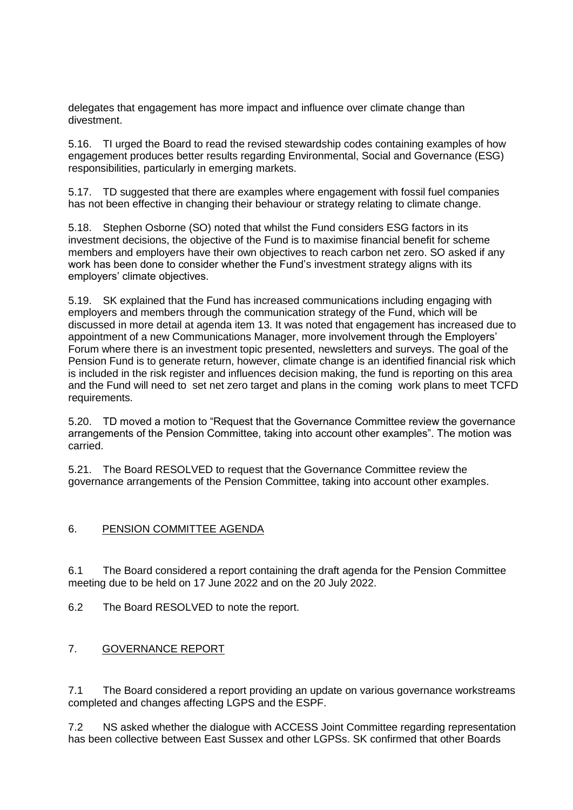delegates that engagement has more impact and influence over climate change than divestment.

5.16. TI urged the Board to read the revised stewardship codes containing examples of how engagement produces better results regarding Environmental, Social and Governance (ESG) responsibilities, particularly in emerging markets.

5.17. TD suggested that there are examples where engagement with fossil fuel companies has not been effective in changing their behaviour or strategy relating to climate change.

5.18. Stephen Osborne (SO) noted that whilst the Fund considers ESG factors in its investment decisions, the objective of the Fund is to maximise financial benefit for scheme members and employers have their own objectives to reach carbon net zero. SO asked if any work has been done to consider whether the Fund's investment strategy aligns with its employers' climate objectives.

5.19. SK explained that the Fund has increased communications including engaging with employers and members through the communication strategy of the Fund, which will be discussed in more detail at agenda item 13. It was noted that engagement has increased due to appointment of a new Communications Manager, more involvement through the Employers' Forum where there is an investment topic presented, newsletters and surveys. The goal of the Pension Fund is to generate return, however, climate change is an identified financial risk which is included in the risk register and influences decision making, the fund is reporting on this area and the Fund will need to set net zero target and plans in the coming work plans to meet TCFD requirements.

5.20. TD moved a motion to "Request that the Governance Committee review the governance arrangements of the Pension Committee, taking into account other examples". The motion was carried.

5.21. The Board RESOLVED to request that the Governance Committee review the governance arrangements of the Pension Committee, taking into account other examples.

#### 6. PENSION COMMITTEE AGENDA

6.1 The Board considered a report containing the draft agenda for the Pension Committee meeting due to be held on 17 June 2022 and on the 20 July 2022.

6.2 The Board RESOLVED to note the report.

# 7. GOVERNANCE REPORT

7.1 The Board considered a report providing an update on various governance workstreams completed and changes affecting LGPS and the ESPF.

7.2 NS asked whether the dialogue with ACCESS Joint Committee regarding representation has been collective between East Sussex and other LGPSs. SK confirmed that other Boards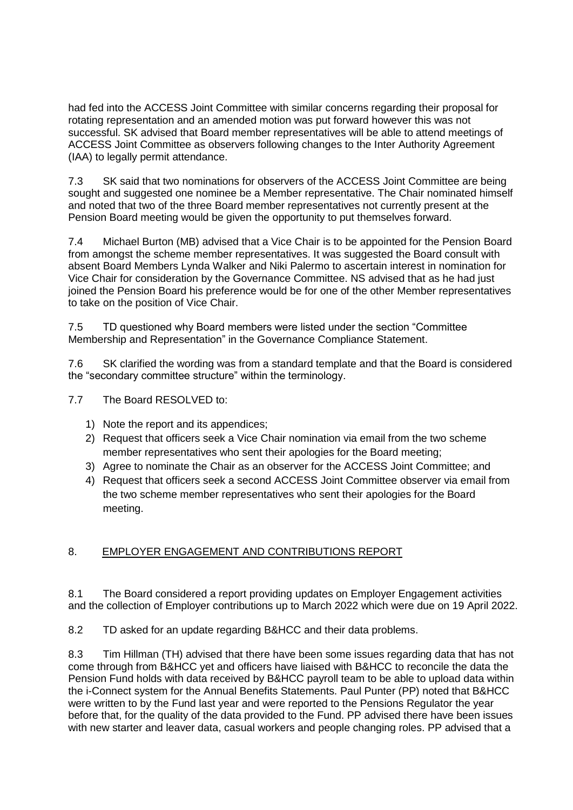had fed into the ACCESS Joint Committee with similar concerns regarding their proposal for rotating representation and an amended motion was put forward however this was not successful. SK advised that Board member representatives will be able to attend meetings of ACCESS Joint Committee as observers following changes to the Inter Authority Agreement (IAA) to legally permit attendance.

7.3 SK said that two nominations for observers of the ACCESS Joint Committee are being sought and suggested one nominee be a Member representative. The Chair nominated himself and noted that two of the three Board member representatives not currently present at the Pension Board meeting would be given the opportunity to put themselves forward.

7.4 Michael Burton (MB) advised that a Vice Chair is to be appointed for the Pension Board from amongst the scheme member representatives. It was suggested the Board consult with absent Board Members Lynda Walker and Niki Palermo to ascertain interest in nomination for Vice Chair for consideration by the Governance Committee. NS advised that as he had just joined the Pension Board his preference would be for one of the other Member representatives to take on the position of Vice Chair.

7.5 TD questioned why Board members were listed under the section "Committee Membership and Representation" in the Governance Compliance Statement.

7.6 SK clarified the wording was from a standard template and that the Board is considered the "secondary committee structure" within the terminology.

7.7 The Board RESOLVED to:

- 1) Note the report and its appendices;
- 2) Request that officers seek a Vice Chair nomination via email from the two scheme member representatives who sent their apologies for the Board meeting;
- 3) Agree to nominate the Chair as an observer for the ACCESS Joint Committee; and
- 4) Request that officers seek a second ACCESS Joint Committee observer via email from the two scheme member representatives who sent their apologies for the Board meeting.

# 8. EMPLOYER ENGAGEMENT AND CONTRIBUTIONS REPORT

8.1 The Board considered a report providing updates on Employer Engagement activities and the collection of Employer contributions up to March 2022 which were due on 19 April 2022.

8.2 TD asked for an update regarding B&HCC and their data problems.

8.3 Tim Hillman (TH) advised that there have been some issues regarding data that has not come through from B&HCC yet and officers have liaised with B&HCC to reconcile the data the Pension Fund holds with data received by B&HCC payroll team to be able to upload data within the i-Connect system for the Annual Benefits Statements. Paul Punter (PP) noted that B&HCC were written to by the Fund last year and were reported to the Pensions Regulator the year before that, for the quality of the data provided to the Fund. PP advised there have been issues with new starter and leaver data, casual workers and people changing roles. PP advised that a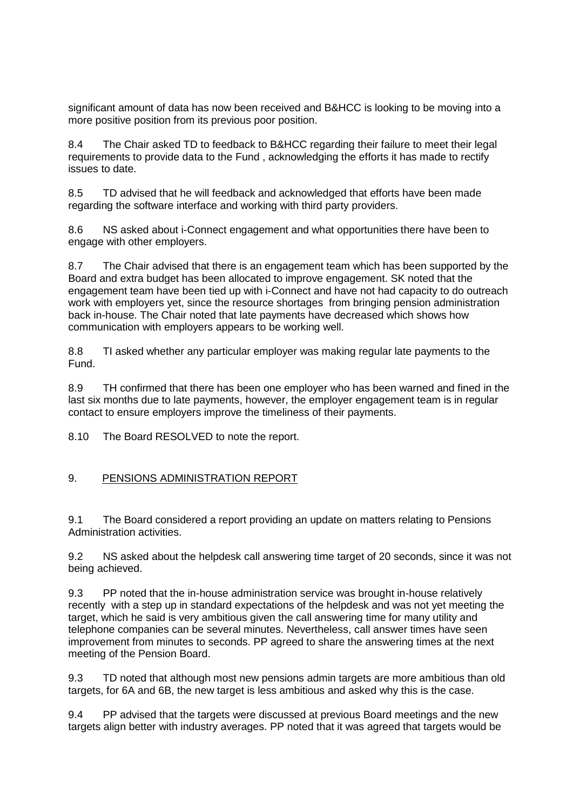significant amount of data has now been received and B&HCC is looking to be moving into a more positive position from its previous poor position.

8.4 The Chair asked TD to feedback to B&HCC regarding their failure to meet their legal requirements to provide data to the Fund , acknowledging the efforts it has made to rectify issues to date.

8.5 TD advised that he will feedback and acknowledged that efforts have been made regarding the software interface and working with third party providers.

8.6 NS asked about i-Connect engagement and what opportunities there have been to engage with other employers.

8.7 The Chair advised that there is an engagement team which has been supported by the Board and extra budget has been allocated to improve engagement. SK noted that the engagement team have been tied up with i-Connect and have not had capacity to do outreach work with employers yet, since the resource shortages from bringing pension administration back in-house. The Chair noted that late payments have decreased which shows how communication with employers appears to be working well.

8.8 TI asked whether any particular employer was making regular late payments to the Fund.

8.9 TH confirmed that there has been one employer who has been warned and fined in the last six months due to late payments, however, the employer engagement team is in regular contact to ensure employers improve the timeliness of their payments.

8.10 The Board RESOLVED to note the report.

#### 9. PENSIONS ADMINISTRATION REPORT

9.1 The Board considered a report providing an update on matters relating to Pensions Administration activities.

9.2 NS asked about the helpdesk call answering time target of 20 seconds, since it was not being achieved.

9.3 PP noted that the in-house administration service was brought in-house relatively recently with a step up in standard expectations of the helpdesk and was not yet meeting the target, which he said is very ambitious given the call answering time for many utility and telephone companies can be several minutes. Nevertheless, call answer times have seen improvement from minutes to seconds. PP agreed to share the answering times at the next meeting of the Pension Board.

9.3 TD noted that although most new pensions admin targets are more ambitious than old targets, for 6A and 6B, the new target is less ambitious and asked why this is the case.

9.4 PP advised that the targets were discussed at previous Board meetings and the new targets align better with industry averages. PP noted that it was agreed that targets would be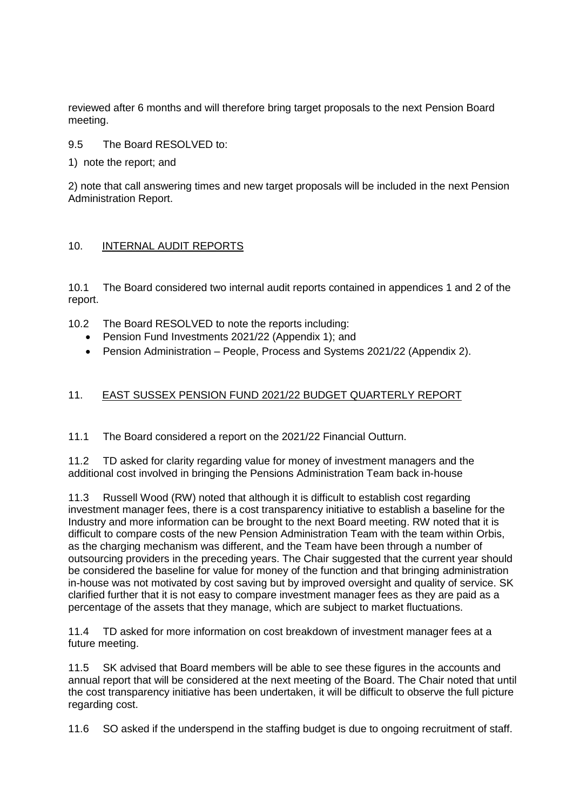reviewed after 6 months and will therefore bring target proposals to the next Pension Board meeting.

#### 9.5 The Board RESOLVED to:

1) note the report; and

2) note that call answering times and new target proposals will be included in the next Pension Administration Report.

#### 10. INTERNAL AUDIT REPORTS

10.1 The Board considered two internal audit reports contained in appendices 1 and 2 of the report.

- 10.2 The Board RESOLVED to note the reports including:
	- Pension Fund Investments 2021/22 (Appendix 1): and
	- Pension Administration People, Process and Systems 2021/22 (Appendix 2).

#### 11. EAST SUSSEX PENSION FUND 2021/22 BUDGET QUARTERLY REPORT

11.1 The Board considered a report on the 2021/22 Financial Outturn.

11.2 TD asked for clarity regarding value for money of investment managers and the additional cost involved in bringing the Pensions Administration Team back in-house

11.3 Russell Wood (RW) noted that although it is difficult to establish cost regarding investment manager fees, there is a cost transparency initiative to establish a baseline for the Industry and more information can be brought to the next Board meeting. RW noted that it is difficult to compare costs of the new Pension Administration Team with the team within Orbis, as the charging mechanism was different, and the Team have been through a number of outsourcing providers in the preceding years. The Chair suggested that the current year should be considered the baseline for value for money of the function and that bringing administration in-house was not motivated by cost saving but by improved oversight and quality of service. SK clarified further that it is not easy to compare investment manager fees as they are paid as a percentage of the assets that they manage, which are subject to market fluctuations.

11.4 TD asked for more information on cost breakdown of investment manager fees at a future meeting.

11.5 SK advised that Board members will be able to see these figures in the accounts and annual report that will be considered at the next meeting of the Board. The Chair noted that until the cost transparency initiative has been undertaken, it will be difficult to observe the full picture regarding cost.

11.6 SO asked if the underspend in the staffing budget is due to ongoing recruitment of staff.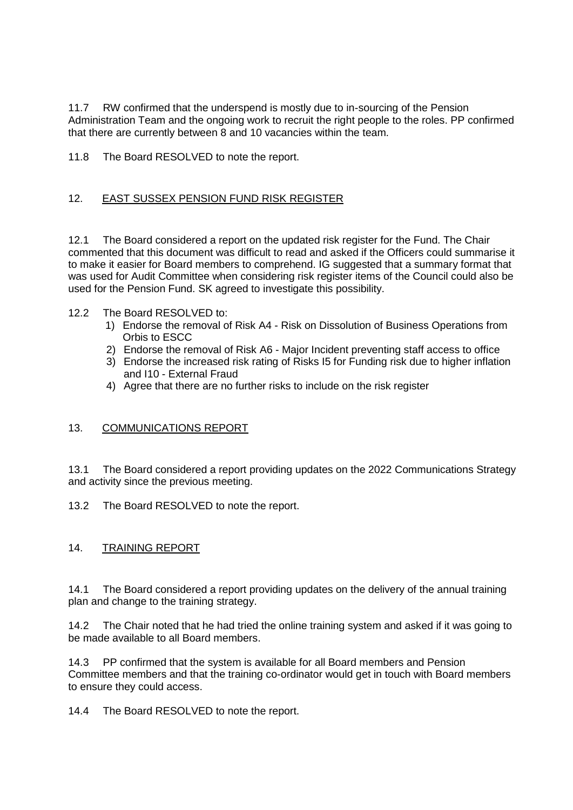11.7 RW confirmed that the underspend is mostly due to in-sourcing of the Pension Administration Team and the ongoing work to recruit the right people to the roles. PP confirmed that there are currently between 8 and 10 vacancies within the team.

11.8 The Board RESOLVED to note the report.

### 12. EAST SUSSEX PENSION FUND RISK REGISTER

12.1 The Board considered a report on the updated risk register for the Fund. The Chair commented that this document was difficult to read and asked if the Officers could summarise it to make it easier for Board members to comprehend. IG suggested that a summary format that was used for Audit Committee when considering risk register items of the Council could also be used for the Pension Fund. SK agreed to investigate this possibility.

#### 12.2 The Board RESOLVED to:

- 1) Endorse the removal of Risk A4 Risk on Dissolution of Business Operations from Orbis to ESCC
- 2) Endorse the removal of Risk A6 Major Incident preventing staff access to office
- 3) Endorse the increased risk rating of Risks I5 for Funding risk due to higher inflation and I10 - External Fraud
- 4) Agree that there are no further risks to include on the risk register

# 13. COMMUNICATIONS REPORT

13.1 The Board considered a report providing updates on the 2022 Communications Strategy and activity since the previous meeting.

13.2 The Board RESOLVED to note the report.

# 14. TRAINING REPORT

14.1 The Board considered a report providing updates on the delivery of the annual training plan and change to the training strategy.

14.2 The Chair noted that he had tried the online training system and asked if it was going to be made available to all Board members.

14.3 PP confirmed that the system is available for all Board members and Pension Committee members and that the training co-ordinator would get in touch with Board members to ensure they could access.

14.4 The Board RESOLVED to note the report.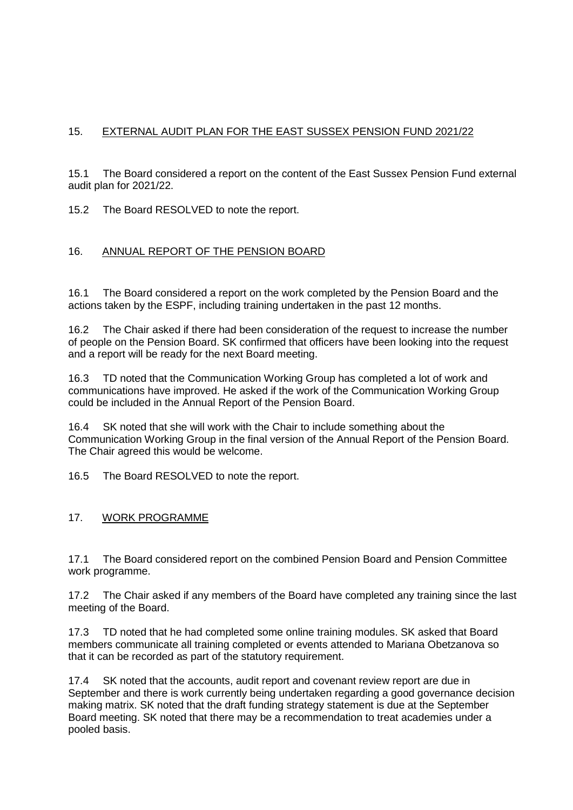# 15. EXTERNAL AUDIT PLAN FOR THE EAST SUSSEX PENSION FUND 2021/22

15.1 The Board considered a report on the content of the East Sussex Pension Fund external audit plan for 2021/22.

15.2 The Board RESOLVED to note the report.

# 16. ANNUAL REPORT OF THE PENSION BOARD

16.1 The Board considered a report on the work completed by the Pension Board and the actions taken by the ESPF, including training undertaken in the past 12 months.

16.2 The Chair asked if there had been consideration of the request to increase the number of people on the Pension Board. SK confirmed that officers have been looking into the request and a report will be ready for the next Board meeting.

16.3 TD noted that the Communication Working Group has completed a lot of work and communications have improved. He asked if the work of the Communication Working Group could be included in the Annual Report of the Pension Board.

16.4 SK noted that she will work with the Chair to include something about the Communication Working Group in the final version of the Annual Report of the Pension Board. The Chair agreed this would be welcome.

16.5 The Board RESOLVED to note the report.

#### 17. WORK PROGRAMME

17.1 The Board considered report on the combined Pension Board and Pension Committee work programme.

17.2 The Chair asked if any members of the Board have completed any training since the last meeting of the Board.

17.3 TD noted that he had completed some online training modules. SK asked that Board members communicate all training completed or events attended to Mariana Obetzanova so that it can be recorded as part of the statutory requirement.

17.4 SK noted that the accounts, audit report and covenant review report are due in September and there is work currently being undertaken regarding a good governance decision making matrix. SK noted that the draft funding strategy statement is due at the September Board meeting. SK noted that there may be a recommendation to treat academies under a pooled basis.